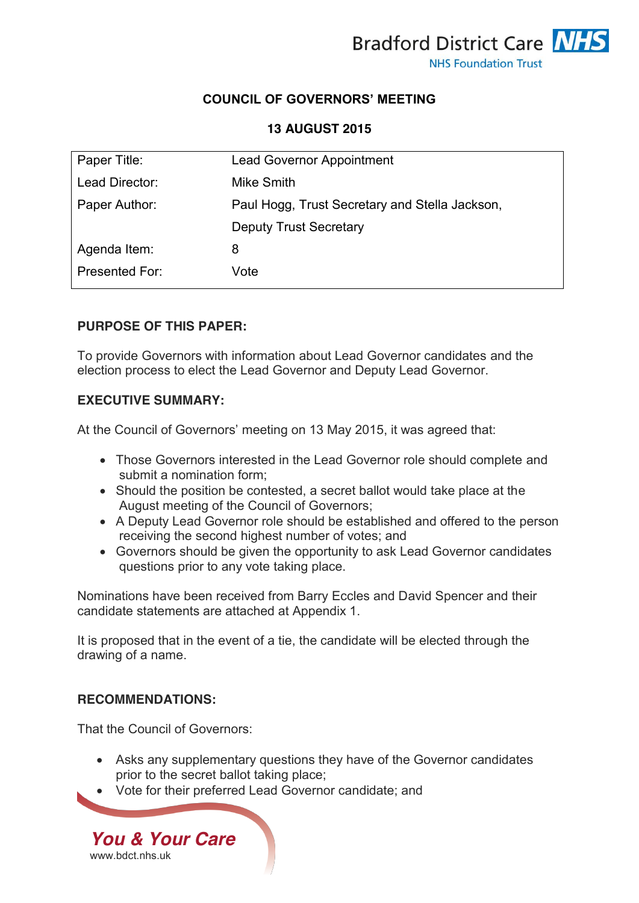

# **COUNCIL OF GOVERNORS' MEETING**

#### **13 AUGUST 2015**

| Paper Title:   | <b>Lead Governor Appointment</b>               |
|----------------|------------------------------------------------|
| Lead Director: | Mike Smith                                     |
| Paper Author:  | Paul Hogg, Trust Secretary and Stella Jackson, |
|                | <b>Deputy Trust Secretary</b>                  |
| Agenda Item:   | 8                                              |
| Presented For: | Vote                                           |

#### **PURPOSE OF THIS PAPER:**

To provide Governors with information about Lead Governor candidates and the election process to elect the Lead Governor and Deputy Lead Governor.

# **EXECUTIVE SUMMARY:**

At the Council of Governors' meeting on 13 May 2015, it was agreed that:

- Those Governors interested in the Lead Governor role should complete and submit a nomination form;
- Should the position be contested, a secret ballot would take place at the August meeting of the Council of Governors;
- A Deputy Lead Governor role should be established and offered to the person receiving the second highest number of votes; and
- Governors should be given the opportunity to ask Lead Governor candidates questions prior to any vote taking place.

Nominations have been received from Barry Eccles and David Spencer and their candidate statements are attached at Appendix 1.

It is proposed that in the event of a tie, the candidate will be elected through the drawing of a name.

### **RECOMMENDATIONS:**

That the Council of Governors:

- Asks any supplementary questions they have of the Governor candidates prior to the secret ballot taking place;
- Vote for their preferred Lead Governor candidate; and

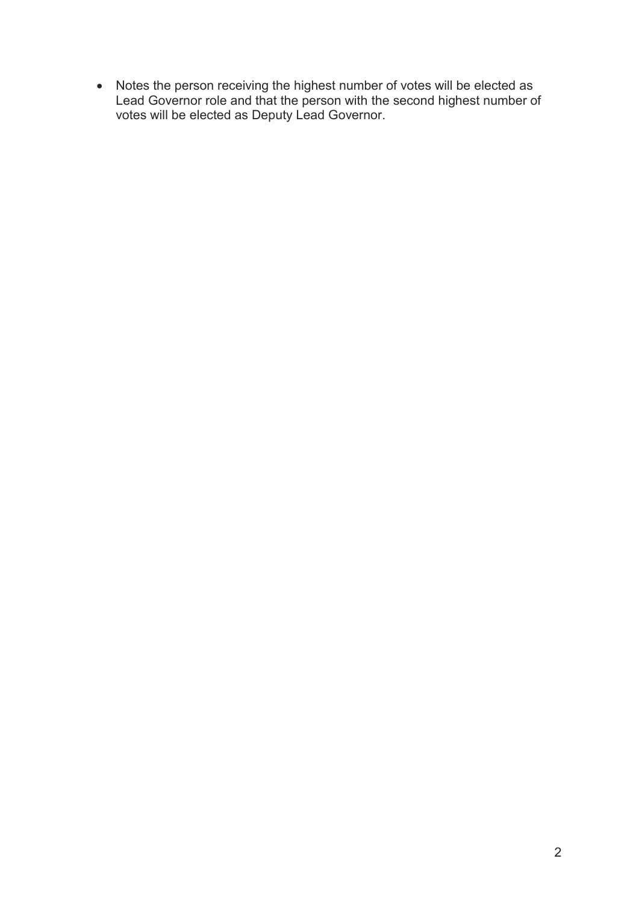• Notes the person receiving the highest number of votes will be elected as Lead Governor role and that the person with the second highest number of votes will be elected as Deputy Lead Governor.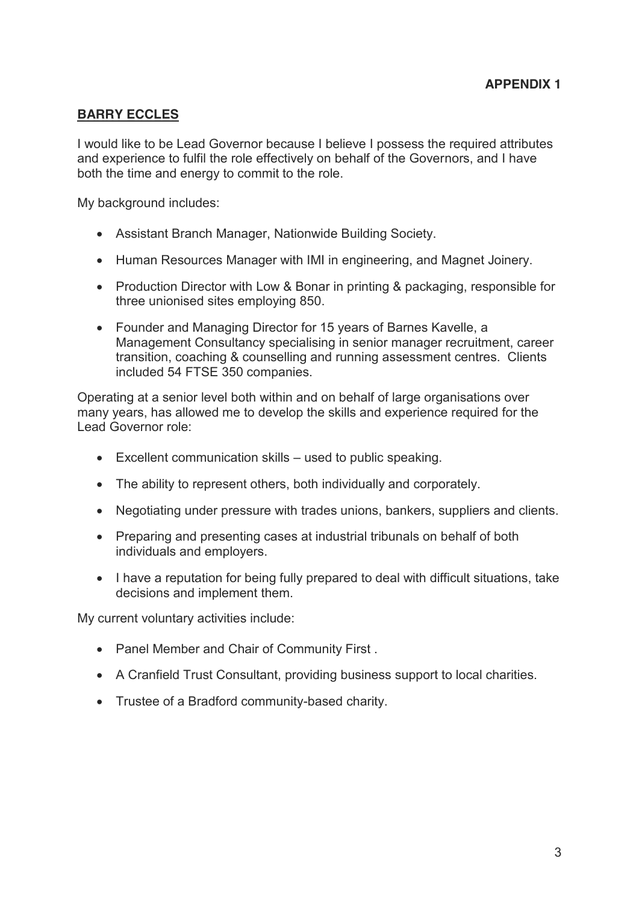## **BARRY ECCLES**

I would like to be Lead Governor because I believe I possess the required attributes and experience to fulfil the role effectively on behalf of the Governors, and I have both the time and energy to commit to the role.

My background includes:

- Assistant Branch Manager, Nationwide Building Society.
- Human Resources Manager with IMI in engineering, and Magnet Joinery.
- Production Director with Low & Bonar in printing & packaging, responsible for three unionised sites employing 850.
- Founder and Managing Director for 15 years of Barnes Kavelle, a Management Consultancy specialising in senior manager recruitment, career transition, coaching & counselling and running assessment centres. Clients included 54 FTSE 350 companies.

Operating at a senior level both within and on behalf of large organisations over many years, has allowed me to develop the skills and experience required for the Lead Governor role:

- $\bullet$  Excellent communication skills used to public speaking.
- The ability to represent others, both individually and corporately.
- Negotiating under pressure with trades unions, bankers, suppliers and clients.
- Preparing and presenting cases at industrial tribunals on behalf of both individuals and employers.
- I have a reputation for being fully prepared to deal with difficult situations, take decisions and implement them.

My current voluntary activities include:

- Panel Member and Chair of Community First .
- A Cranfield Trust Consultant, providing business support to local charities.
- Trustee of a Bradford community-based charity.